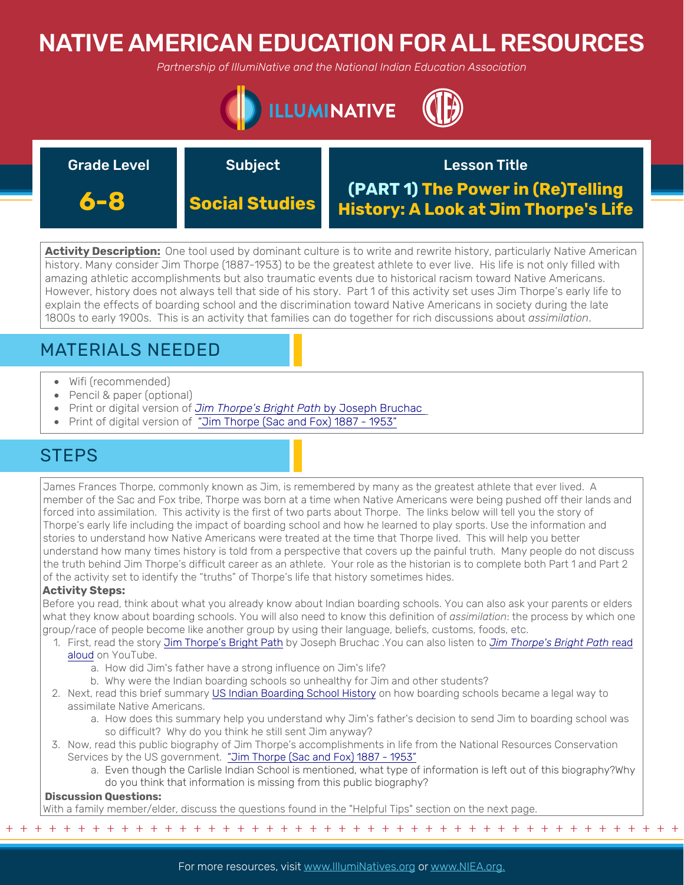# NATIVE AMERICAN EDUCATION FOR ALL RESOURCES

*Partnership of IllumiNative and the National Indian Education Association*



| <b>Grade Level</b> | <b>Subject</b>        | <b>Lesson Title</b>                                                              |
|--------------------|-----------------------|----------------------------------------------------------------------------------|
| 6-8                | <b>Social Studies</b> | (PART 1) The Power in (Re)Telling<br><b>History: A Look at Jim Thorpe's Life</b> |

**Activity Description:** One tool used by dominant culture is to write and rewrite history, particularly Native American history. Many consider Jim Thorpe (1887-1953) to be the greatest athlete to ever live. His life is not only filled with amazing athletic accomplishments but also traumatic events due to historical racism toward Native Americans. However, history does not always tell that side of his story. Part 1 of this activity set uses Jim Thorpe's early life to explain the effects of boarding school and the discrimination toward Native Americans in society during the late 1800s to early 1900s. This is an activity that families can do together for rich discussions about *assimilation*.

# MATERIALS NEEDED

- Wifi (recommended)
- Pencil & paper (optional)
- Print or digital version of *[Jim Thorpe's Bright Path](http://mrswebb4.weebly.com/uploads/2/0/4/9/20499204/jim_thorpes_bright_path.pdf)* by Joseph Bruchac
- Print of digital version of ["Jim Thorpe \(Sac and Fox\) 1887 1953"](https://www.nrcs.usda.gov/Internet/FSE_DOCUMENTS/nrcs141p2_015564.pdf)

## **STEPS**

James Frances Thorpe, commonly known as Jim, is remembered by many as the greatest athlete that ever lived. A member of the Sac and Fox tribe, Thorpe was born at a time when Native Americans were being pushed off their lands and forced into assimilation. This activity is the first of two parts about Thorpe. The links below will tell you the story of Thorpe's early life including the impact of boarding school and how he learned to play sports. Use the information and stories to understand how Native Americans were treated at the time that Thorpe lived. This will help you better understand how many times history is told from a perspective that covers up the painful truth. Many people do not discuss the truth behind Jim Thorpe's difficult career as an athlete. Your role as the historian is to complete both Part 1 and Part 2 of the activity set to identify the "truths" of Thorpe's life that history sometimes hides.

### **Activity Steps:**

Before you read, think about what you already know about Indian boarding schools. You can also ask your parents or elders what they know about boarding schools. You will also need to know this definition of *assimilation*: the process by which one group/race of people become like another group by using their language, beliefs, customs, foods, etc.

- 1. [First, read the story J](https://www.youtube.com/watch?v=UcQlS9NQ0wU)[im Thorpe's Bright Path](http://mrswebb4.weebly.com/uploads/2/0/4/9/20499204/jim_thorpes_bright_path.pdf%20) [by Joseph Bruchac .You can also listen to](https://www.youtube.com/watch?v=UcQlS9NQ0wU) *Jim Thorpe's Bright Path* read aloud on YouTube.
	- a. How did Jim's father have a strong influence on Jim's life?
	- b. Why were the Indian boarding schools so unhealthy for Jim and other students?
- 2. Next, read this brief summary [US Indian Boarding School History](https://boardingschoolhealing.org/education/us-indian-boarding-school-history/) on how boarding schools became a legal way to assimilate Native Americans.
	- a. How does this summary help you understand why Jim's father's decision to send Jim to boarding school was so difficult? Why do you think he still sent Jim anyway?
- 3. Now, read this public biography of Jim Thorpe's accomplishments in life from the National Resources Conservation Services by the US government. "Jim Thorpe (Sac and Fox) 1887 - 1953"
	- a. [Even though the Carlisle Indian School is mentioned, what type of information is left out of this biography?Why](https://www.nrcs.usda.gov/Internet/FSE_DOCUMENTS/nrcs141p2_015564.pdf)  do you think that information is missing from this public biography?

+ + + + + + + + + + + + + + + + + + + + + + + + + + + + + + + + + + + + + + + + + + + + + + + +

### **Discussion Questions:**

With a family member/elder, discuss the questions found in the "Helpful Tips" section on the next page.